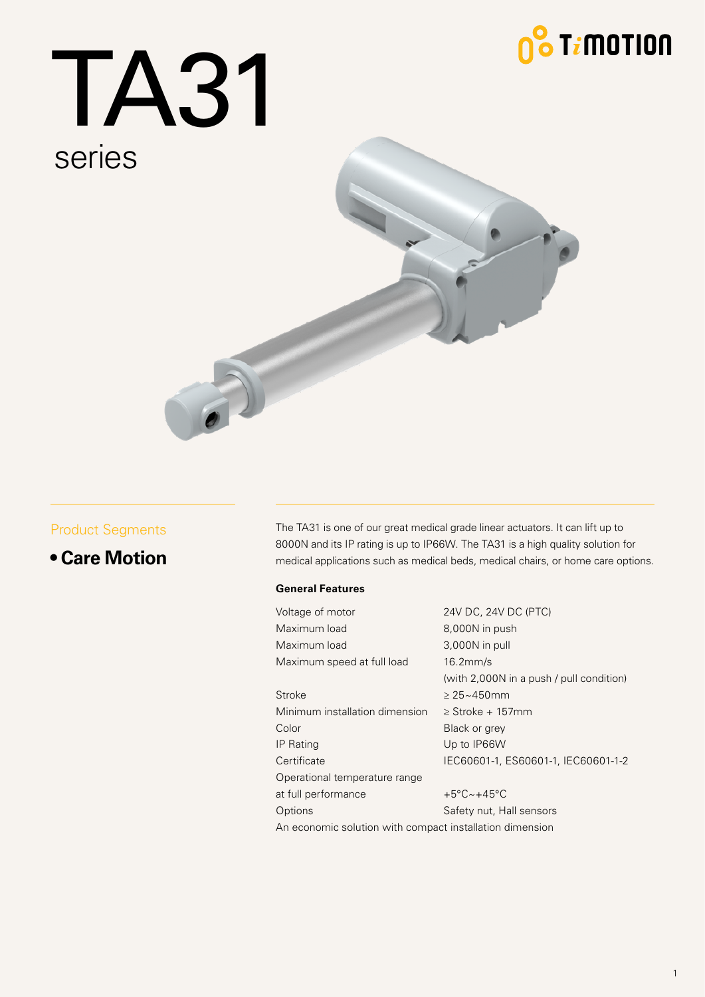## $\frac{1}{2}$  T $i$ motion

# TA31 series



#### Product Segments

#### **• Care Motion**

The TA31 is one of our great medical grade linear actuators. It can lift up to 8000N and its IP rating is up to IP66W. The TA31 is a high quality solution for medical applications such as medical beds, medical chairs, or home care options.

#### **General Features**

Voltage of motor 24V DC, 24V DC (PTC) Maximum load 8,000N in push Maximum load 3,000N in pull Maximum speed at full load 16.2mm/s (with 2,000N in a push / pull condition) Stroke  $\geq 25 \sim 450$ mm Minimum installation dimension ≥ Stroke + 157mm Color Black or grey IP Rating Up to IP66W Certificate IEC60601-1, ES60601-1, IEC60601-1-2 Operational temperature range at full performance  $+5^{\circ}C-+45^{\circ}C$ Options **Safety nut, Hall sensors** An economic solution with compact installation dimension

1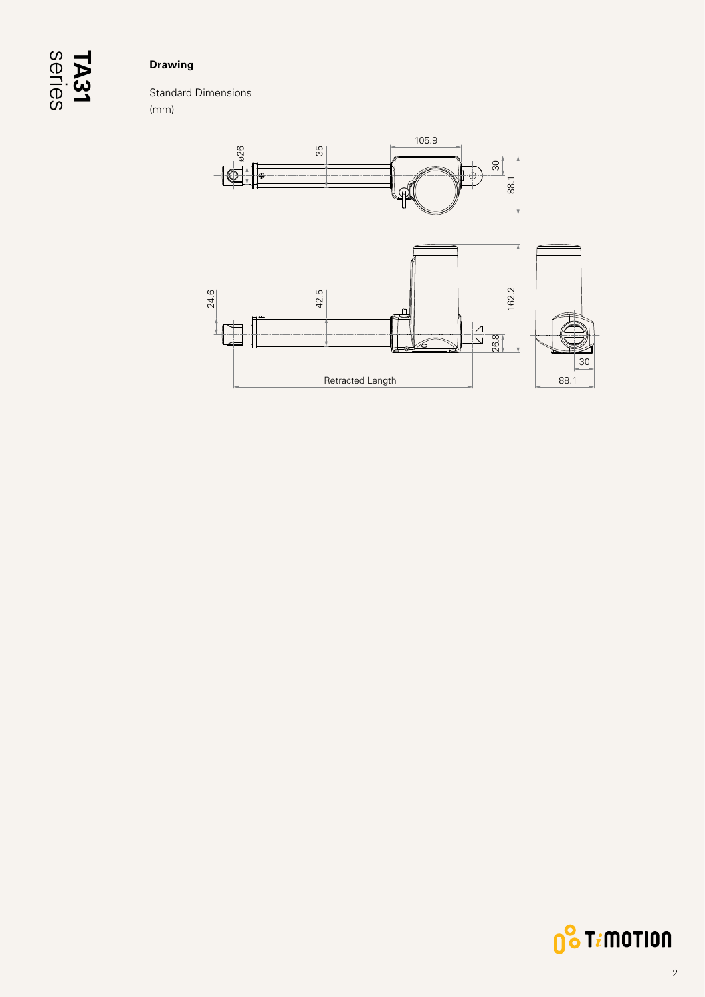## series **TA31**

#### **Drawing**

Standard Dimensions (mm)



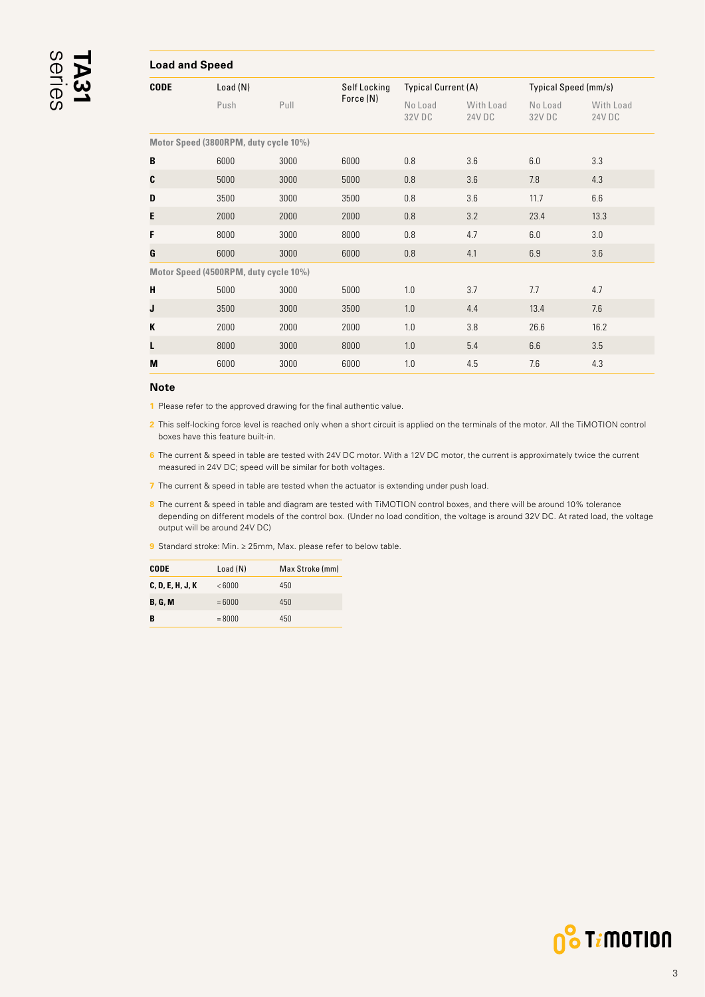#### <span id="page-2-0"></span>**Load and Speed CODE** Load (N) Self Locking Force (N) Typical Current (A) Typical Speed (mm/s) Push Pull No Load 32V DC With Load 24V DC No Load 32V DC With Load 24V DC **Motor Speed (3800RPM, duty cycle 10%) B** 6000 3000 6000 0.8 3.6 6.0 3.3 **C** 5000 3000 5000 0.8 3.6 7.8 4.3 **D** 3500 3000 3500 0.8 3.6 11.7 6.6

**E** 2000 2000 2000 0.8 3.2 23.4 13.3 **F** 8000 3000 8000 0.8 4.7 6.0 3.0 **G** 6000 3000 6000 0.8 4.1 6.9 3.6

**H** 5000 3000 5000 1.0 3.7 7.7 4.7 **J** 3500 3000 3500 1.0 4.4 13.4 7.6 **K** 2000 2000 2000 1.0 3.8 26.6 16.2 **L** 8000 3000 8000 1.0 5.4 6.6 3.5 **M** 6000 3000 6000 1.0 4.5 7.6 4.3

#### **Note**

**1** Please refer to the approved drawing for the final authentic value.

**Motor Speed (4500RPM, duty cycle 10%)**

**2** This self-locking force level is reached only when a short circuit is applied on the terminals of the motor. All the TiMOTION control boxes have this feature built-in.

**6** The current & speed in table are tested with 24V DC motor. With a 12V DC motor, the current is approximately twice the current measured in 24V DC; speed will be similar for both voltages.

**7** The current & speed in table are tested when the actuator is extending under push load.

8 The current & speed in table and diagram are tested with TiMOTION control boxes, and there will be around 10% tolerance depending on different models of the control box. (Under no load condition, the voltage is around 32V DC. At rated load, the voltage output will be around 24V DC)

**9** Standard stroke: Min. ≥ 25mm, Max. please refer to below table.

| CODE             | Load (N) | Max Stroke (mm) |
|------------------|----------|-----------------|
| C, D, E, H, J, K | < 6000   | 450             |
| <b>B. G. M</b>   | $=6000$  | 450             |
| в                | $= 8000$ | 450             |

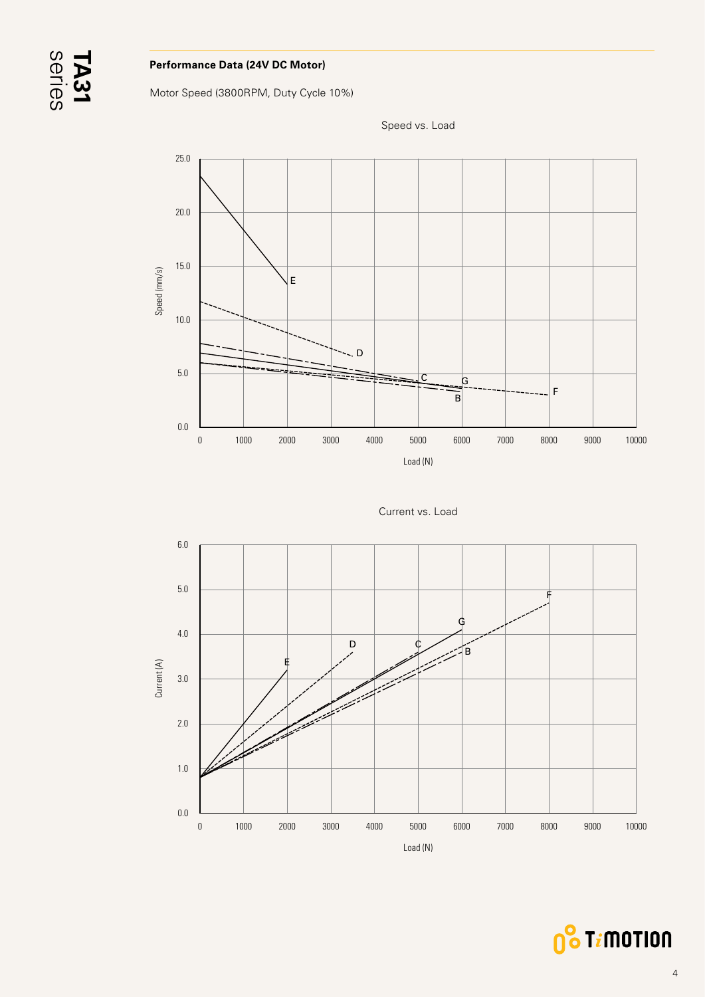#### **Performance Data (24V DC Motor)**

Motor Speed (3800RPM, Duty Cycle 10%)



Speed vs. Load

Current vs. Load



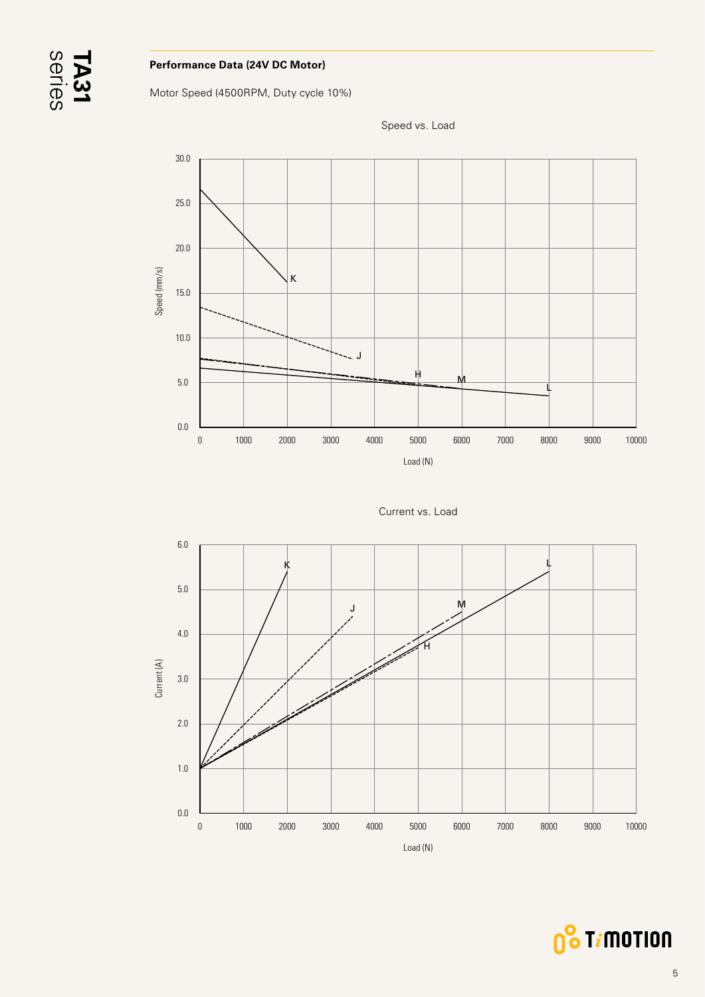#### **Performance Data (24V DC Motor)**

Motor Speed (4500RPM, Duty cycle 10%)



Speed vs. Load

Current vs. Load



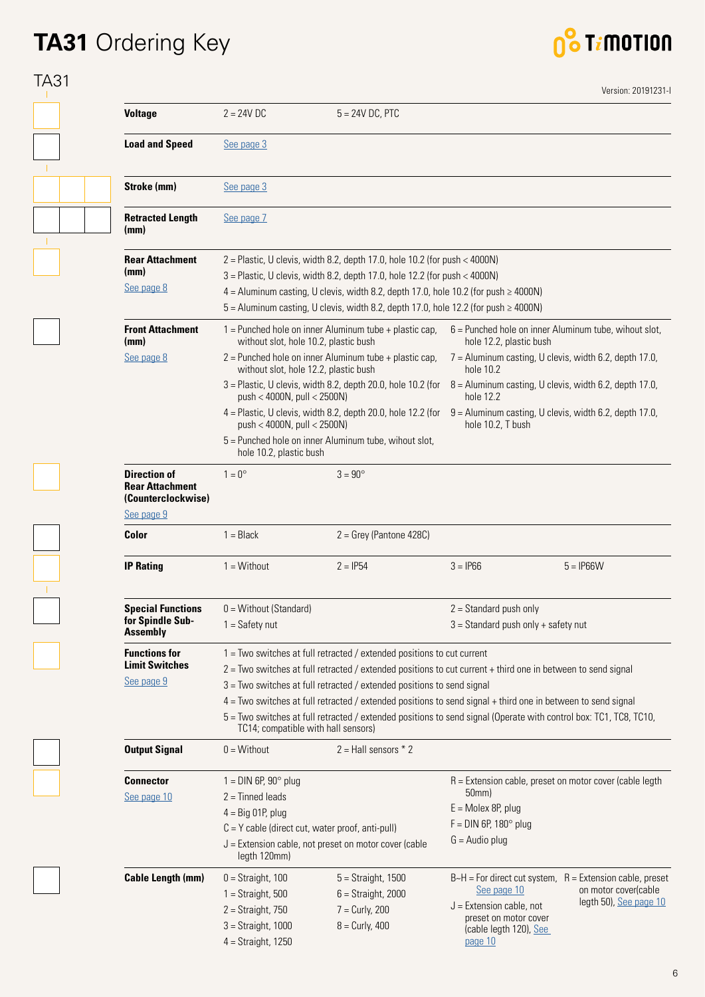## **TA31** Ordering Key



| <b>Voltage</b>                                                                    | $2 = 24V$ DC                                       | $5 = 24V$ DC, PTC                                                                                                                                                                                                                                        |                                                                   |                                                                                        |
|-----------------------------------------------------------------------------------|----------------------------------------------------|----------------------------------------------------------------------------------------------------------------------------------------------------------------------------------------------------------------------------------------------------------|-------------------------------------------------------------------|----------------------------------------------------------------------------------------|
|                                                                                   |                                                    |                                                                                                                                                                                                                                                          |                                                                   |                                                                                        |
| <b>Load and Speed</b>                                                             | See page 3                                         |                                                                                                                                                                                                                                                          |                                                                   |                                                                                        |
| Stroke (mm)                                                                       | See page 3                                         |                                                                                                                                                                                                                                                          |                                                                   |                                                                                        |
| <b>Retracted Length</b><br>(mm)                                                   | See page 7                                         |                                                                                                                                                                                                                                                          |                                                                   |                                                                                        |
| <b>Rear Attachment</b><br>(mm)<br>See page 8                                      |                                                    | $2$ = Plastic, U clevis, width 8.2, depth 17.0, hole 10.2 (for push < 4000N)<br>3 = Plastic, U clevis, width 8.2, depth 17.0, hole 12.2 (for push < 4000N)<br>$4 =$ Aluminum casting, U clevis, width 8.2, depth 17.0, hole 10.2 (for push $\geq$ 4000N) |                                                                   |                                                                                        |
|                                                                                   |                                                    | $5$ = Aluminum casting, U clevis, width 8.2, depth 17.0, hole 12.2 (for push $\geq 4000N$ )                                                                                                                                                              |                                                                   |                                                                                        |
| <b>Front Attachment</b><br>(mm)                                                   | without slot, hole 10.2, plastic bush              | $1 =$ Punched hole on inner Aluminum tube + plastic cap,                                                                                                                                                                                                 | hole 12.2, plastic bush                                           | $6$ = Punched hole on inner Aluminum tube, wihout slot,                                |
| See page 8                                                                        | without slot, hole 12.2, plastic bush              | $2$ = Punched hole on inner Aluminum tube + plastic cap,                                                                                                                                                                                                 | hole 10.2                                                         | 7 = Aluminum casting, U clevis, width 6.2, depth 17.0,                                 |
|                                                                                   | push < 4000N, pull < 2500N)                        | $3$ = Plastic, U clevis, width 8.2, depth 20.0, hole 10.2 (for                                                                                                                                                                                           | hole 12.2                                                         | $8$ = Aluminum casting, U clevis, width 6.2, depth 17.0,                               |
|                                                                                   | push < 4000N, pull < 2500N)                        | $4$ = Plastic, U clevis, width 8.2, depth 20.0, hole 12.2 (for                                                                                                                                                                                           | hole 10.2, T bush                                                 | 9 = Aluminum casting, U clevis, width 6.2, depth 17.0,                                 |
|                                                                                   | hole 10.2, plastic bush                            | 5 = Punched hole on inner Aluminum tube, wihout slot,                                                                                                                                                                                                    |                                                                   |                                                                                        |
| <b>Direction of</b><br><b>Rear Attachment</b><br>(Counterclockwise)<br>See page 9 | $1 = 0^{\circ}$                                    | $3 = 90^{\circ}$                                                                                                                                                                                                                                         |                                                                   |                                                                                        |
| Color                                                                             | $1 = Black$                                        | $2 =$ Grey (Pantone 428C)                                                                                                                                                                                                                                |                                                                   |                                                                                        |
| <b>IP Rating</b>                                                                  | $1 =$ Without                                      | $2 = IP54$                                                                                                                                                                                                                                               | $3 = IP66$                                                        | $5 = IP66W$                                                                            |
| <b>Special Functions</b><br>for Spindle Sub-                                      | 0 = Without (Standard)<br>$1 = Safety nut$         |                                                                                                                                                                                                                                                          | $2 =$ Standard push only<br>$3 =$ Standard push only + safety nut |                                                                                        |
| <b>Assembly</b>                                                                   |                                                    |                                                                                                                                                                                                                                                          |                                                                   |                                                                                        |
| <b>Functions for</b>                                                              |                                                    | 1 = Two switches at full retracted / extended positions to cut current                                                                                                                                                                                   |                                                                   |                                                                                        |
| <b>Limit Switches</b>                                                             |                                                    | 2 = Two switches at full retracted / extended positions to cut current + third one in between to send signal                                                                                                                                             |                                                                   |                                                                                        |
| See page 9                                                                        |                                                    | 3 = Two switches at full retracted / extended positions to send signal                                                                                                                                                                                   |                                                                   |                                                                                        |
|                                                                                   | TC14; compatible with hall sensors)                | $4 =$ Two switches at full retracted / extended positions to send signal + third one in between to send signal<br>5 = Two switches at full retracted / extended positions to send signal (Operate with control box: TC1, TC8, TC10,                      |                                                                   |                                                                                        |
| <b>Output Signal</b>                                                              | $0 = \text{Without}$                               | $2 =$ Hall sensors $*$ 2                                                                                                                                                                                                                                 |                                                                   |                                                                                        |
| <b>Connector</b>                                                                  | $1 =$ DIN 6P, 90 $^{\circ}$ plug                   |                                                                                                                                                                                                                                                          |                                                                   | R = Extension cable, preset on motor cover (cable legth                                |
| See page 10                                                                       | $2 =$ Tinned leads                                 |                                                                                                                                                                                                                                                          | 50mm)                                                             |                                                                                        |
|                                                                                   | $4 = Big 01P, plug$                                |                                                                                                                                                                                                                                                          | $E =$ Molex 8P, plug                                              |                                                                                        |
|                                                                                   | $C = Y$ cable (direct cut, water proof, anti-pull) |                                                                                                                                                                                                                                                          | $F =$ DIN 6P, 180 $^{\circ}$ plug                                 |                                                                                        |
|                                                                                   | legth 120mm)                                       | $J =$ Extension cable, not preset on motor cover (cable                                                                                                                                                                                                  | $G =$ Audio plug                                                  |                                                                                        |
| <b>Cable Length (mm)</b>                                                          | $0 =$ Straight, 100                                | $5 =$ Straight, 1500                                                                                                                                                                                                                                     | See page 10                                                       | $B-H = For direct cut system$ , $R = Extension cable$ , preset<br>on motor cover(cable |
|                                                                                   | $1 =$ Straight, 500<br>$2 =$ Straight, 750         | $6 =$ Straight, 2000<br>$7 =$ Curly, 200                                                                                                                                                                                                                 | $J =$ Extension cable, not                                        | legth 50), See page 10                                                                 |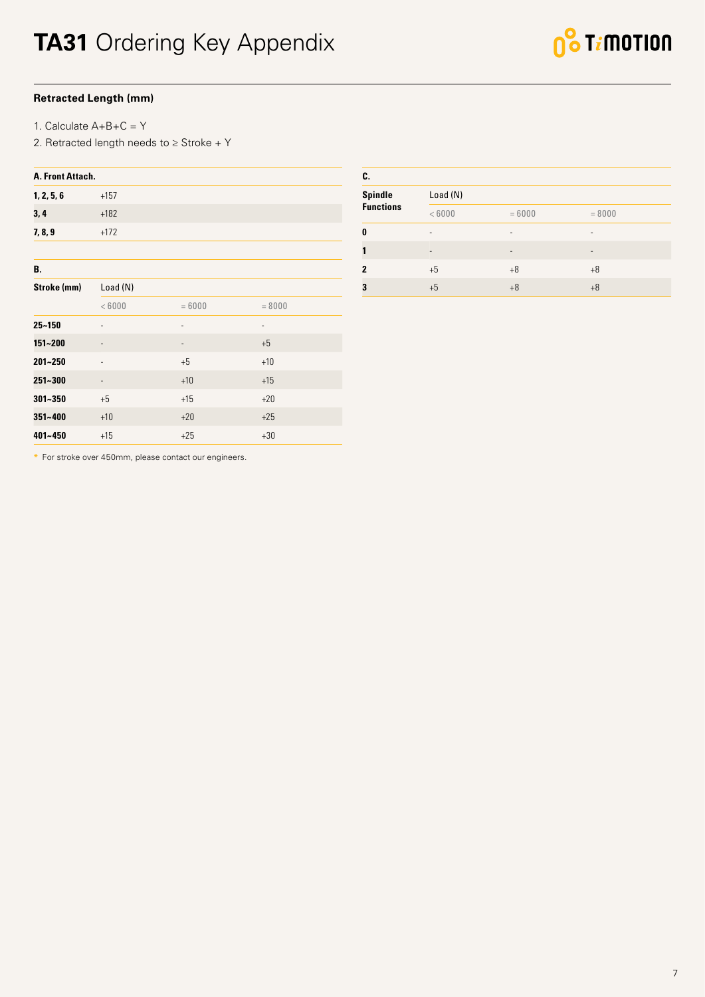#### <span id="page-6-0"></span>**Retracted Length (mm)**

1. Calculate A+B+C = Y

2. Retracted length needs to  $\geq$  Stroke + Y

| A. Front Attach. |                              |                          |                          |  |  |
|------------------|------------------------------|--------------------------|--------------------------|--|--|
| 1, 2, 5, 6       | $+157$                       |                          |                          |  |  |
| 3,4              | $+182$                       |                          |                          |  |  |
| 7, 8, 9          | $+172$                       |                          |                          |  |  |
|                  |                              |                          |                          |  |  |
| В.               |                              |                          |                          |  |  |
| Stroke (mm)      | Load (N)                     |                          |                          |  |  |
|                  | < 6000                       | $= 6000$                 | $= 8000$                 |  |  |
| $25 - 150$       | ÷                            | $\overline{\phantom{0}}$ | $\overline{\phantom{0}}$ |  |  |
| 151~200          | $\overline{\phantom{m}}$     | $\overline{\phantom{a}}$ | $+5$                     |  |  |
| $201 - 250$      | $\overline{a}$               | $+5$                     | $+10$                    |  |  |
| 251~300          | $\qquad \qquad \blacksquare$ | $+10$                    | $+15$                    |  |  |
| $301 - 350$      | $+5$                         | $+15$                    | $+20$                    |  |  |
| 351~400          | $+10$                        | $+20$                    | $+25$                    |  |  |
| 401~450          | $+15$                        | $+25$                    | $+30$                    |  |  |

| C.               |                          |                              |          |  |  |
|------------------|--------------------------|------------------------------|----------|--|--|
| <b>Spindle</b>   | Load(N)                  |                              |          |  |  |
| <b>Functions</b> | < 6000                   | $= 6000$                     | $= 8000$ |  |  |
| 0                | ۰                        | $\qquad \qquad \blacksquare$ | ٠        |  |  |
|                  | $\overline{\phantom{0}}$ | $\overline{\phantom{0}}$     | ۰        |  |  |
| 2                | $+5$                     | $+8$                         | $+8$     |  |  |
| 3                | $+5$                     | $+8$                         | $+8$     |  |  |

**\*** For stroke over 450mm, please contact our engineers.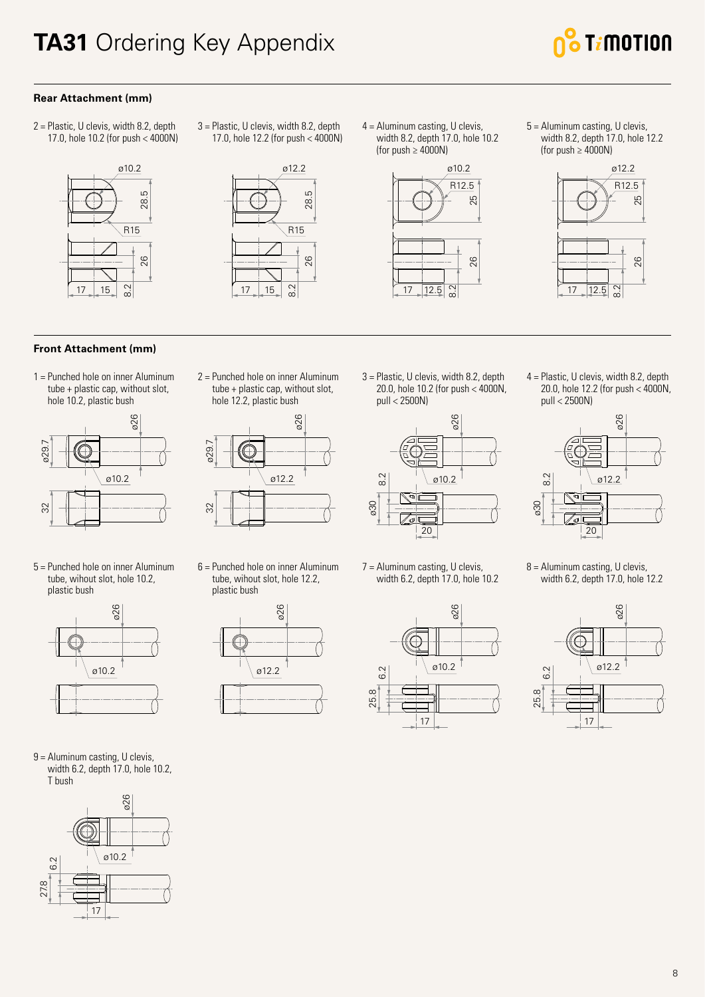

#### <span id="page-7-0"></span>**Rear Attachment (mm)**

2 = Plastic, U clevis, width 8.2, depth 17.0, hole 10.2 (for push < 4000N)



#### **Front Attachment (mm)**

1 = Punched hole on inner Aluminum tube + plastic cap, without slot, hole 10.2, plastic bush



5 = Punched hole on inner Aluminum tube, wihout slot, hole 10.2, plastic bush



9 = Aluminum casting, U clevis, width 6.2, depth 17.0, hole 10.2, T bush



3 = Plastic, U clevis, width 8.2, depth 17.0, hole 12.2 (for push < 4000N)



2 = Punched hole on inner Aluminum tube + plastic cap, without slot, hole 12.2, plastic bush

ø26

6 = Punched hole on inner Aluminum tube, wihout slot, hole 12.2,

ø12.2

ø26

plastic bush

32 ø29.7

 $32$ 

ø29.

4 = Aluminum casting, U clevis, width 8.2, depth 17.0, hole 10.2 (for push  $\geq 4000N$ )



5 = Aluminum casting, U clevis, width 8.2, depth 17.0, hole 12.2 (for push  $\geq 4000N$ )



3 = Plastic, U clevis, width 8.2, depth 20.0, hole 10.2 (for push < 4000N, pull < 2500N)



7 = Aluminum casting, U clevis, width 6.2, depth 17.0, hole 10.2



4 = Plastic, U clevis, width 8.2, depth 20.0, hole 12.2 (for push < 4000N, pull < 2500N)



8 = Aluminum casting, U clevis, width 6.2, depth 17.0, hole 12.2

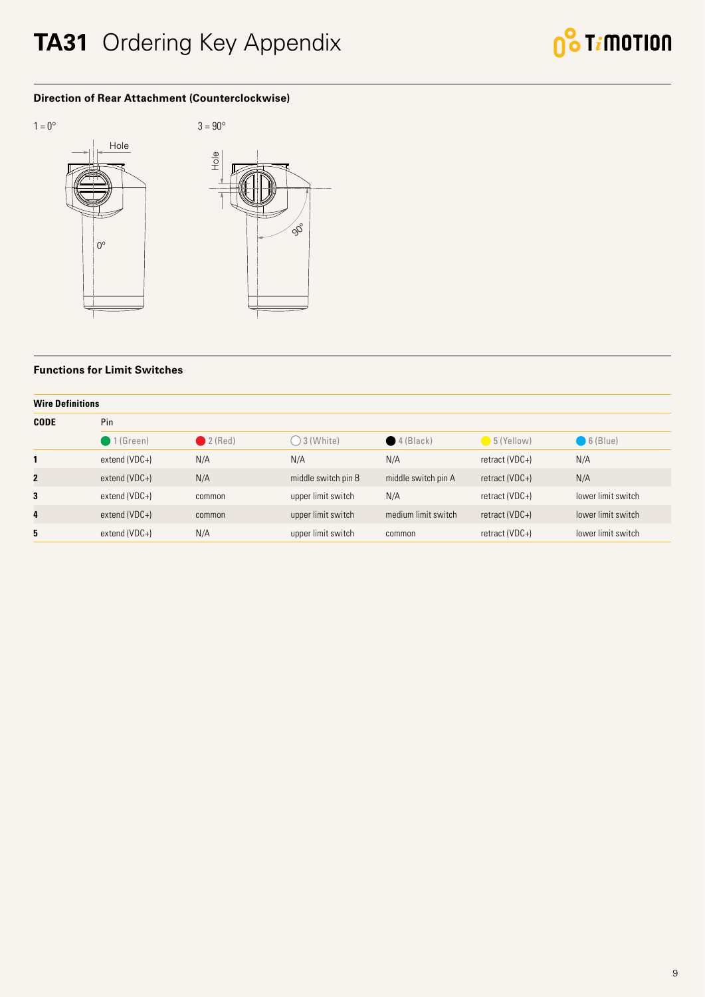### <span id="page-8-0"></span>**TA31** Ordering Key Appendix



#### **Direction of Rear Attachment (Counterclockwise)**



#### **Functions for Limit Switches**

| <b>Wire Definitions</b> |                      |           |                     |                      |                |                    |  |
|-------------------------|----------------------|-----------|---------------------|----------------------|----------------|--------------------|--|
| <b>CODE</b>             | Pin                  |           |                     |                      |                |                    |  |
|                         | $\bigcirc$ 1 (Green) | $2$ (Red) | $3$ (White)         | $\bigcirc$ 4 (Black) | $5$ (Yellow)   | $6$ (Blue)         |  |
| 1                       | extend (VDC+)        | N/A       | N/A                 | N/A                  | retract (VDC+) | N/A                |  |
| $\mathbf{2}$            | extend (VDC+)        | N/A       | middle switch pin B | middle switch pin A  | retract (VDC+) | N/A                |  |
| 3                       | extend (VDC+)        | common    | upper limit switch  | N/A                  | retract (VDC+) | lower limit switch |  |
| 4                       | $extend(VDC+)$       | common    | upper limit switch  | medium limit switch  | retract (VDC+) | lower limit switch |  |
| 5                       | extend (VDC+)        | N/A       | upper limit switch  | common               | retract (VDC+) | lower limit switch |  |